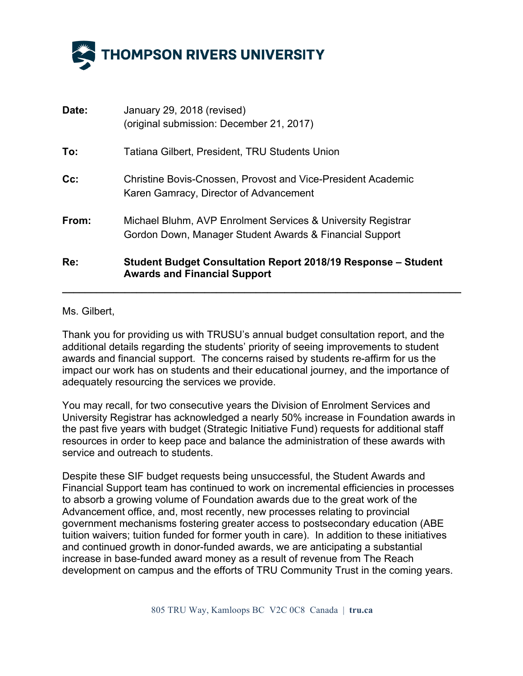

| Date:  | January 29, 2018 (revised)<br>(original submission: December 21, 2017)                                                  |
|--------|-------------------------------------------------------------------------------------------------------------------------|
| To:    | Tatiana Gilbert, President, TRU Students Union                                                                          |
| $Cc$ : | <b>Christine Bovis-Cnossen, Provost and Vice-President Academic</b><br>Karen Gamracy, Director of Advancement           |
| From:  | Michael Bluhm, AVP Enrolment Services & University Registrar<br>Gordon Down, Manager Student Awards & Financial Support |
| Re:    | Student Budget Consultation Report 2018/19 Response – Student<br><b>Awards and Financial Support</b>                    |

## Ms. Gilbert,

Thank you for providing us with TRUSU's annual budget consultation report, and the additional details regarding the students' priority of seeing improvements to student awards and financial support. The concerns raised by students re-affirm for us the impact our work has on students and their educational journey, and the importance of adequately resourcing the services we provide.

You may recall, for two consecutive years the Division of Enrolment Services and University Registrar has acknowledged a nearly 50% increase in Foundation awards in the past five years with budget (Strategic Initiative Fund) requests for additional staff resources in order to keep pace and balance the administration of these awards with service and outreach to students.

Despite these SIF budget requests being unsuccessful, the Student Awards and Financial Support team has continued to work on incremental efficiencies in processes to absorb a growing volume of Foundation awards due to the great work of the Advancement office, and, most recently, new processes relating to provincial government mechanisms fostering greater access to postsecondary education (ABE tuition waivers; tuition funded for former youth in care). In addition to these initiatives and continued growth in donor-funded awards, we are anticipating a substantial increase in base-funded award money as a result of revenue from The Reach development on campus and the efforts of TRU Community Trust in the coming years.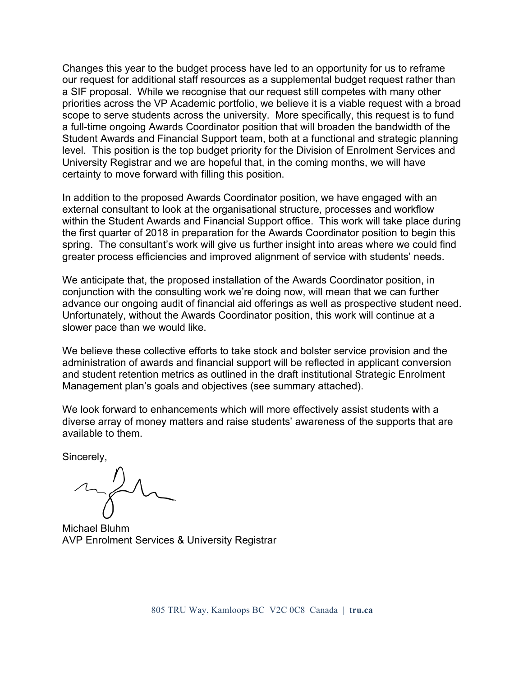Changes this year to the budget process have led to an opportunity for us to reframe our request for additional staff resources as a supplemental budget request rather than a SIF proposal. While we recognise that our request still competes with many other priorities across the VP Academic portfolio, we believe it is a viable request with a broad scope to serve students across the university. More specifically, this request is to fund a full-time ongoing Awards Coordinator position that will broaden the bandwidth of the Student Awards and Financial Support team, both at a functional and strategic planning level. This position is the top budget priority for the Division of Enrolment Services and University Registrar and we are hopeful that, in the coming months, we will have certainty to move forward with filling this position.

In addition to the proposed Awards Coordinator position, we have engaged with an external consultant to look at the organisational structure, processes and workflow within the Student Awards and Financial Support office. This work will take place during the first quarter of 2018 in preparation for the Awards Coordinator position to begin this spring. The consultant's work will give us further insight into areas where we could find greater process efficiencies and improved alignment of service with students' needs.

We anticipate that, the proposed installation of the Awards Coordinator position, in conjunction with the consulting work we're doing now, will mean that we can further advance our ongoing audit of financial aid offerings as well as prospective student need. Unfortunately, without the Awards Coordinator position, this work will continue at a slower pace than we would like.

We believe these collective efforts to take stock and bolster service provision and the administration of awards and financial support will be reflected in applicant conversion and student retention metrics as outlined in the draft institutional Strategic Enrolment Management plan's goals and objectives (see summary attached).

We look forward to enhancements which will more effectively assist students with a diverse array of money matters and raise students' awareness of the supports that are available to them.

Sincerely,

Michael Bluhm AVP Enrolment Services & University Registrar